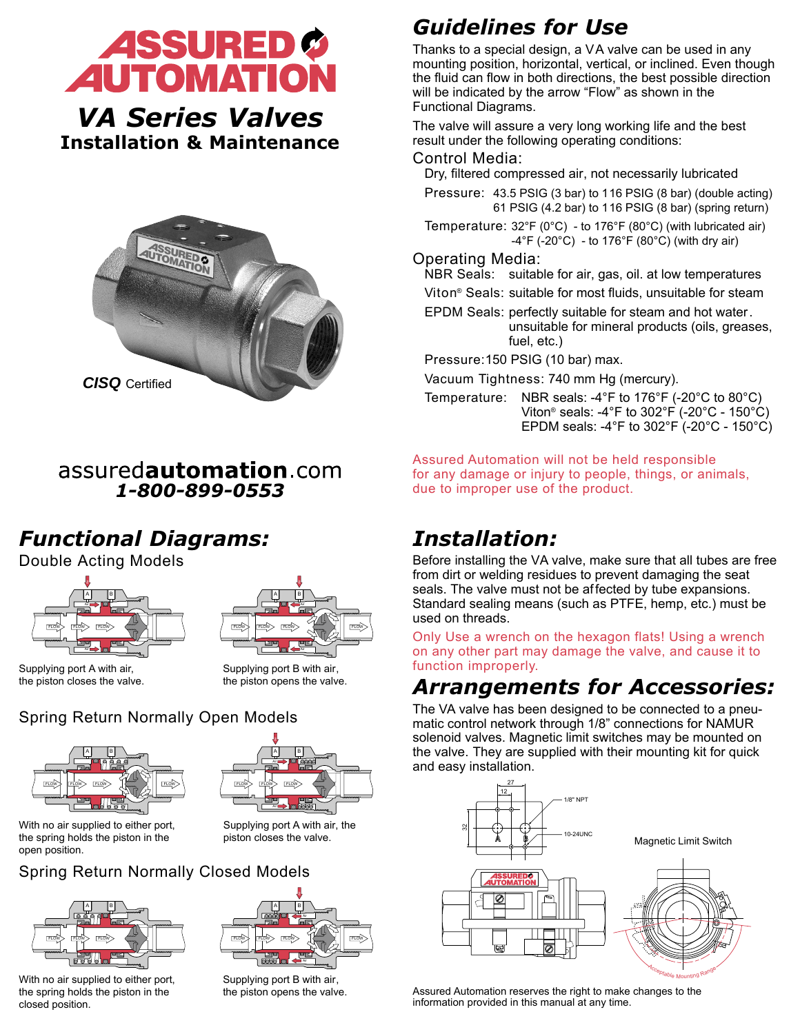

*VA Series Valves* **Installation & Maintenance**



#### assuredautomation.com *1-800-899-0553*

# *Functional Diagrams:*

Double Acting Models





Supplying port A with air, the piston closes the valve.

Supplying port B with air, the piston opens the valve.

## Spring Return Normally Open Models





With no air supplied to either port, the spring holds the piston in the open position.

Supplying port A with air, the piston closes the valve.

## Spring Return Normally Closed Models



With no air supplied to either port. the spring holds the piston in the closed position.



Supplying port B with air, the piston opens the valve.

# *Guidelines for Use*

Thanks to a special design, a VA valve can be used in any mounting position, horizontal, vertical, or inclined. Even though the fluid can flow in both directions, the best possible direction will be indicated by the arrow "Flow" as shown in the Functional Diagrams.

The valve will assure a very long working life and the best result under the following operating conditions:

#### Control Media:

Dry, filtered compressed air, not necessarily lubricated

- Pressure: 43.5 PSIG (3 bar) to 116 PSIG (8 bar) (double acting) 61 PSIG (4.2 bar) to 116 PSIG (8 bar) (spring return)
- Temperature: 32°F (0°C) to 176°F (80°C) (with lubricated air)  $-4^{\circ}$ F ( $-20^{\circ}$ C) - to 176 $^{\circ}$ F (80 $^{\circ}$ C) (with dry air)

#### Operating Media:

- NBR Seals: suitable for air, gas, oil. at low temperatures
- Viton® Seals: suitable for most fluids, unsuitable for steam
- EPDM Seals: perfectly suitable for steam and hot water. unsuitable for mineral products (oils, greases, fuel, etc.)

Pressure:150 PSIG (10 bar) max.

Vacuum Tightness: 740 mm Hg (mercury).

Temperature: NBR seals: -4°F to 176°F (-20°C to 80°C) Viton® seals: -4°F to 302°F (-20°C - 150°C) EPDM seals: -4°F to  $302^{\circ}$ F (-20°C - 150°C)

Assured Automation will not be held responsible for any damage or injury to people, things, or animals, due to improper use of the product.

# *Installation:*

Before installing the VA valve, make sure that all tubes are free from dirt or welding residues to prevent damaging the seat seals. The valve must not be affected by tube expansions. Standard sealing means (such as PTFE, hemp, etc.) must be used on threads.

Only Use a wrench on the hexagon flats! Using a wrench on any other part may damage the valve, and cause it to function improperly.

## *Arrangements for Accessories:*

The VA valve has been designed to be connected to a pneumatic control network through 1/8" connections for NAMUR solenoid valves. Magnetic limit switches may be mounted on the valve. They are supplied with their mounting kit for quick and easy installation.



<sup>A</sup>cceptable Mounting Rang<sup>e</sup>

Magnetic Limit Switch

Assured Automation reserves the right to make changes to the information provided in this manual at any time.